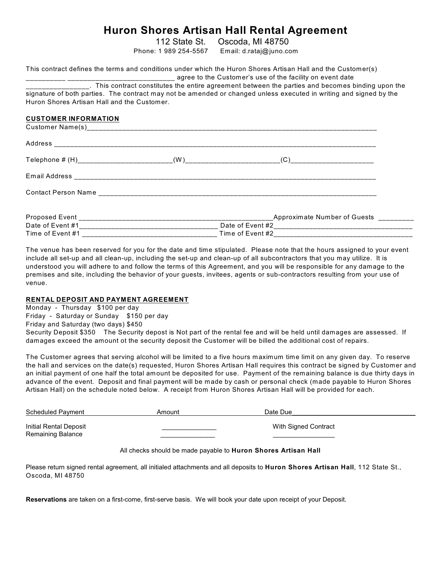# **Huron Shores Artisan Hall Rental Agreement**

112 State St. Oscoda, MI 48750

Phone: 1 989 254-5567 Email: d.rataj@juno.com

|                                             | This contract defines the terms and conditions under which the Huron Shores Artisan Hall and the Customer(s)       |
|---------------------------------------------|--------------------------------------------------------------------------------------------------------------------|
|                                             | ________________. This contract constitutes the entire agreement between the parties and becomes binding upon the  |
|                                             | signature of both parties. The contract may not be amended or changed unless executed in writing and signed by the |
| Huron Shores Artisan Hall and the Customer. |                                                                                                                    |
| <b>CUSTOMER INFORMATION</b>                 |                                                                                                                    |
|                                             |                                                                                                                    |
|                                             |                                                                                                                    |
|                                             |                                                                                                                    |
|                                             |                                                                                                                    |
|                                             |                                                                                                                    |
|                                             |                                                                                                                    |
|                                             |                                                                                                                    |
| Time of Event #1                            | Time of Event #2                                                                                                   |

The venue has been reserved for you for the date and time stipulated. Please note that the hours assigned to your event include all set-up and all clean-up, including the set-up and clean-up of all subcontractors that you may utilize. It is understood you will adhere to and follow the terms of this Agreement, and you will be responsible for any damage to the premises and site, including the behavior of your guests, invitees, agents or sub-contractors resulting from your use of venue.

# **RENTAL DEPOSIT AND PAYMENT AGREEMENT**

Monday - Thursday \$100 per day Friday - Saturday or Sunday \$150 per day Friday and Saturday (two days) \$450 Security Deposit \$350 The Security depost is Not part of the rental fee and will be held until damages are assessed. If damages exceed the amount ot the security deposit the Customer will be billed the additional cost of repairs.

The Customer agrees that serving alcohol will be limited to a five hours maximum time limit on any given day. To reserve the hall and services on the date(s) requested, Huron Shores Artisan Hall requires this contract be signed by Customer and an initial payment of one half the total amount be deposited for use. Payment of the remaining balance is due thirty days in advance of the event. Deposit and final payment will be made by cash or personal check (made payable to Huron Shores Artisan Hall) on the schedule noted below. A receipt from Huron Shores Artisan Hall will be provided for each.

| <b>Scheduled Payment</b>                    | Amount | Date Due             |
|---------------------------------------------|--------|----------------------|
| Initial Rental Deposit<br>Remaining Balance |        | With Signed Contract |

All checks should be made payable to **Huron Shores Artisan Hall**

Please return signed rental agreement, all initialed attachments and all deposits to **Huron Shores Artisan Hall**, 112 State St., Oscoda, MI 48750

**Reservations** are taken on a first-come, first-serve basis. We will book your date upon receipt of your Deposit.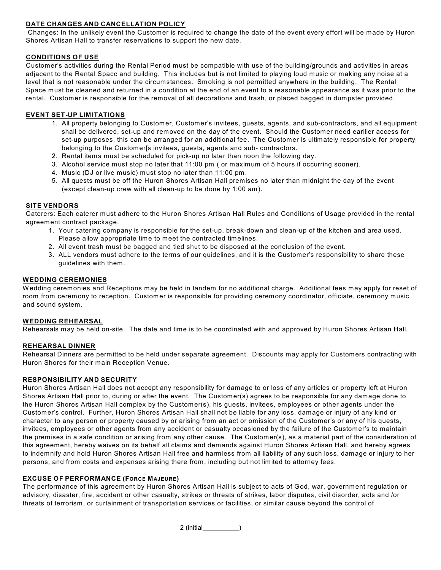# **DATE CHANGES AND CANCELLATION POLICY**

 Changes: In the unlikely event the Customer is required to change the date of the event every effort will be made by Huron Shores Artisan Hall to transfer reservations to support the new date.

#### **CONDITIONS OF USE**

Customer's activities during the Rental Period must be compatible with use of the building/grounds and activities in areas adjacent to the Rental Spacc and building. This includes but is not limited to playing loud music or making any noise at a level that is not reasonable under the circumstances. Smoking is not permitted anywhere in the building. The Rental Space must be cleaned and returned in a condition at the end of an event to a reasonable appearance as it was prior to the rental. Customer is responsible for the removal of all decorations and trash, or placed bagged in dumpster provided.

## **EVENT SET-UP LIMITATIONS**

- 1. All property belonging to Customer, Customer's invitees, guests, agents, and sub-contractors, and all equipment shall be delivered, set-up and removed on the day of the event. Should the Customer need earilier access for set-up purposes, this can be arranged for an additional fee. The Customer is ultimately responsible for property belonging to the Customer[s invitees, guests, agents and sub- contractors.
- 2. Rental items must be scheduled for pick-up no later than noon the following day.
- 3. Alcohol service must stop no later that 11:00 pm ( or maximum of 5 hours if occurring sooner).
- 4. Music (DJ or live music) must stop no later than 11:00 pm.
- 5. All quests must be off the Huron Shores Artisan Hall premises no later than midnight the day of the event (except clean-up crew with all clean-up to be done by 1:00 am).

### **SITE VENDORS**

Caterers: Each caterer must adhere to the Huron Shores Artisan Hall Rules and Conditions of Usage provided in the rental agreement contract package.

- 1. Your catering company is responsible for the set-up, break-down and clean-up of the kitchen and area used. Please allow appropriate time to meet the contracted timelines.
- 2. All event trash must be bagged and tied shut to be disposed at the conclusion of the event.
- 3. ALL vendors must adhere to the terms of our quidelines, and it is the Customer's responsibility to share these guidelines with them.

#### **WEDDING CEREMONIES**

W edding ceremonies and Receptions may be held in tandem for no additional charge. Additional fees may apply for reset of room from ceremony to reception. Customer is responsible for providing ceremony coordinator, officiate, ceremony music and sound system.

#### **WEDDING REHEARSAL**

Rehearsals may be held on-site. The date and time is to be coordinated with and approved by Huron Shores Artisan Hall.

## **REHEARSAL DINNER**

Rehearsal Dinners are permitted to be held under separate agreement. Discounts may apply for Customers contracting with Huron Shores for their main Reception Venue.

#### **RESPONSIBILITY AND SECURITY**

Huron Shores Artisan Hall does not accept any responsibility for damage to or loss of any articles or property left at Huron Shores Artisan Hall prior to, during or after the event. The Customer(s) agrees to be responsible for any damage done to the Huron Shores Artisan Hall complex by the Customer(s), his guests, invitees, employees or other agents under the Customer's control. Further, Huron Shores Artisan Hall shall not be liable for any loss, damage or injury of any kind or character to any person or property caused by or arising from an act or omission of the Customer's or any of his quests, invitees, employees or other agents from any accident or casualty occasioned by the failure of the Customer's to maintain the premises in a safe condition or arising from any other cause. The Customer(s), as a material part of the consideration of this agreement, hereby waives on its behalf all claims and demands against Huron Shores Artisan Hall, and hereby agrees to indemnify and hold Huron Shores Artisan Hall free and harmless from all liability of any such loss, damage or injury to her persons, and from costs and expenses arising there from, including but not limited to attorney fees.

## **EXCUSE OF PERFORMANCE (FORCE MAJEURE)**

The performance of this agreement by Huron Shores Artisan Hall is subject to acts of God, war, government regulation or advisory, disaster, fire, accident or other casualty, strikes or threats of strikes, labor disputes, civil disorder, acts and /or threats of terrorism, or curtainment of transportation services or facilities, or similar cause beyond the control of

2 (initial\_\_\_\_\_\_\_\_\_\_)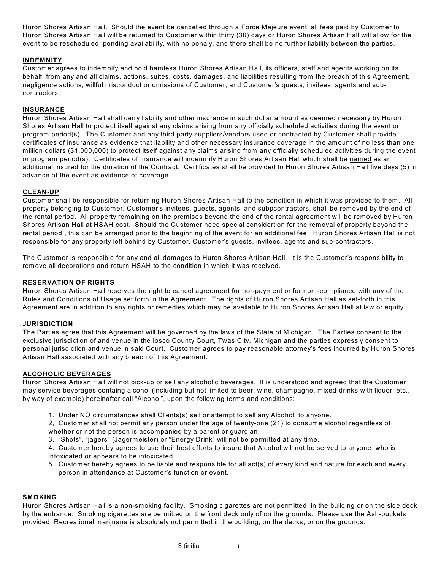Huron Shores Artisan Hall. Should the event be cancelled through a Force Majeure event, all fees paid by Customer to Huron Shores Artisan Hall will be returned to Customer within thirty (30) days or Huron Shores Artisan Hall will allow for the event to be rescheduled, pending availability, with no penaly, and there shall be no further liability between the parties.

## **INDEMNITY**

Customer agrees to indemnify and hold hamless Huron Shores Artisan Hall, its officers, staff and agents working on its behalf, from any and all claims, actions, suites, costs, damages, and liabilities resulting from the breach of this Agreement, negligence actions, willful misconduct or omissions of Customer, and Customer's quests, invitees, agents and subcontractors.

#### **INSURANCE**

Huron Shores Artisan Hall shall carry liability and other insurance in such dollar amount as deemed necessary by Huron Shores Artisan Hall to protect itself against any claims arising from any officially scheduled activities during the event or program period(s). The Customer and any third party suppliers/vendors used or contracted by Customer shall provide certificates of insurance as evidence that liability and other necessary insurance coverage in the amount of no less than one million dollars (\$1,000,000) to protect itself against any claims arising from any officially scheduled activities during the event or program period(s). Certificates of Insurance will indemnify Huron Shores Artisan Hall which shall be named as an additional insured for the duration of the Contract. Certificates shall be provided to Huron Shores Artisan Hall five days (5) in advance of the event as evidence of coverage.

#### **CLEAN-UP**

Customer shall be responsible for returning Huron Shores Artisan Hall to the condition in which it was provided to them. All property belonging to Customer, Customer's invitees, guests, agents, and subpcontractors, shall be removed by the end of the rental period. All property remaining on the premises beyond the end of the rental agreement will be removed by Huron Shores Artisan Hall at HSAH cost. Should the Customer need special considertion for the removal of property beyond the rental period , this can be arranged prior to the beginning of the event for an additional fee. Huron Shores Artisan Hall is not responsible for any property left behind by Customer, Customer's guests, invitees, agents and sub-contractors.

The Customer is responsible for any and all damages to Huron Shores Artisan Hall. It is the Customer's responsibility to remove all decorations and return HSAH to the condition in which it was received.

#### **RESERVATION OF RIGHTS**

Huron Shores Artisan Hall reserves the right to cancel agreement for nor-payment or for nom-compliance with any of the Rules and Conditions of Usage set forth in the Agreement. The rights of Huron Shores Artisan Hall as set-forth in this Agreement are in addition to any rights or remedies which may be available to Huron Shores Artisan Hall at law or equity.

#### **JURISDICTION**

The Parties agree that this Agreement will be governed by the laws of the State of Michigan. The Parties consent to the exclusive jurisdiction of and venue in the Iosco County Court, Twas City, Michigan and the parties expressly consent to personal jurisdiction and venue in said Court. Customer agrees to pay reasonable attorney's fees incurred by Huron Shores Artisan Hall associated with any breach of this Agreement.

## **ALCOHOLIC BEVERAGES**

Huron Shores Artisan Hall will not pick-up or sell any alcoholic beverages. It is understood and agreed that the Customer may service beverages containg alcohol (including but not limited to beer, wine, champagne, mixed-drinks with liquor, etc., by way of example) hereinafter call "Alcohol", upon the following terms and conditions:

- 1. Under NO circumstances shall Clients(s) sell or attempt to sell any Alcohol to anyone.
- 2, Customer shall not permit any person under the age of twenty-one (21) to consume alcohol regardless of whether or not the person is accompanied by a parent or guardian.
- 3. "Shots", "jagers" (Jagermeister) or "Energy Drink" will not be permitted at any time.

4. Customer hereby agrees to use their best efforts to insure that Alcohol will not be served to anyone who is intoxicated or appears to be intoxicated.

5. Customer hereby agrees to be liable and responsible for all act(s) of every kind and nature for each and every person in attendance at Customer's function or event.

#### **SMOKING**

Huron Shores Artisan Hall is a non-smoking facility. Smoking cigarettes are not permitted in the building or on the side deck by the entrance. Smoking cigarettes are permitted on the front deck only of on the grounds. Please use the Ash-buckets provided. Recreational marijuana is absolutely not permitted in the building, on the decks, or on the grounds.

3 (initial\_\_\_\_\_\_\_\_\_\_)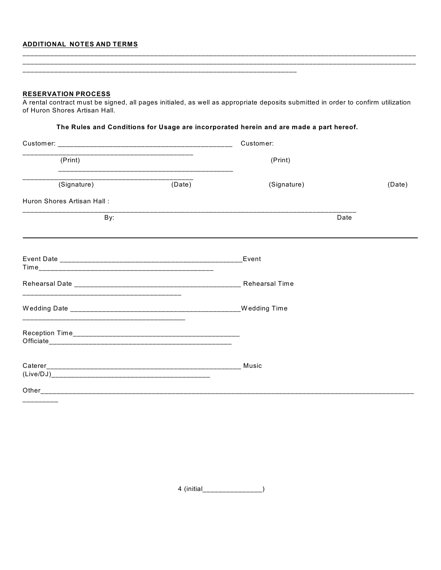# ADDITIONAL NOTES AND TERMS

| <b>RESERVATION PROCESS</b><br>A rental contract must be signed, all pages initialed, as well as appropriate deposits submitted in order to confirm utilization |        |                                                                                        |        |  |  |
|----------------------------------------------------------------------------------------------------------------------------------------------------------------|--------|----------------------------------------------------------------------------------------|--------|--|--|
| of Huron Shores Artisan Hall.                                                                                                                                  |        |                                                                                        |        |  |  |
|                                                                                                                                                                |        | The Rules and Conditions for Usage are incorporated herein and are made a part hereof. |        |  |  |
|                                                                                                                                                                |        | Customer:                                                                              |        |  |  |
| <u> 1989 - Johann Johnson, mars andrewski politik (</u><br>(Print)                                                                                             |        | (Print)                                                                                |        |  |  |
| (Signature)                                                                                                                                                    | (Date) | (Signature)                                                                            | (Date) |  |  |
| Huron Shores Artisan Hall:                                                                                                                                     |        |                                                                                        |        |  |  |
| By:                                                                                                                                                            |        | Date                                                                                   |        |  |  |
|                                                                                                                                                                |        |                                                                                        |        |  |  |
|                                                                                                                                                                |        |                                                                                        |        |  |  |
|                                                                                                                                                                |        |                                                                                        |        |  |  |
|                                                                                                                                                                |        |                                                                                        |        |  |  |
|                                                                                                                                                                |        |                                                                                        |        |  |  |
|                                                                                                                                                                |        |                                                                                        |        |  |  |
|                                                                                                                                                                |        |                                                                                        |        |  |  |
|                                                                                                                                                                |        |                                                                                        |        |  |  |
|                                                                                                                                                                |        |                                                                                        |        |  |  |

4 (initial\_\_\_\_\_\_\_\_\_\_\_\_\_\_\_\_)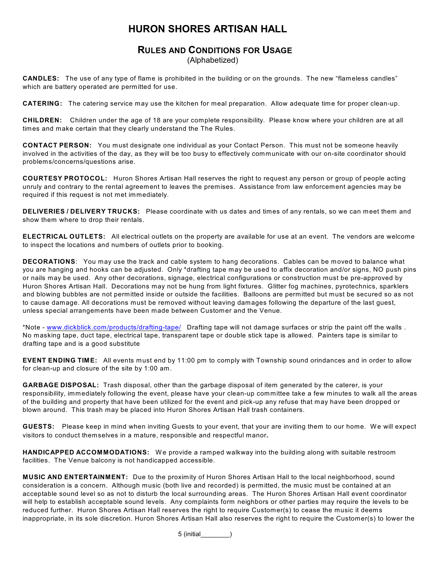# **HURON SHORES ARTISAN HALL**

# **RULES AND CONDITIONS FOR USAGE** (Alphabetized)

**CANDLES:** The use of any type of flame is prohibited in the building or on the grounds. The new "flameless candles" which are battery operated are permitted for use.

**CATERING:** The catering service may use the kitchen for meal preparation. Allow adequate time for proper clean-up.

**CHILDREN:** Children under the age of 18 are your complete responsibility. Please know where your children are at all times and make certain that they clearly understand the The Rules.

**CONTACT PERSON:** You must designate one individual as your Contact Person. This must not be someone heavily involved in the activities of the day, as they will be too busy to effectively communicate with our on-site coordinator should problems/concerns/questions arise.

**COURTESY PROTOCOL:** Huron Shores Artisan Hall reserves the right to request any person or group of people acting unruly and contrary to the rental agreement to leaves the premises. Assistance from law enforcement agencies may be required if this request is not met immediately.

**DELIVERIES / DELIVERY TRUCKS:** Please coordinate with us dates and times of any rentals, so we can meet them and show them where to drop their rentals.

**ELECTRICAL OUTLETS:** All electrical outlets on the property are available for use at an event. The vendors are welcome to inspect the locations and numbers of outlets prior to booking.

**DECORATIONS**: You may use the track and cable system to hang decorations. Cables can be moved to balance what you are hanging and hooks can be adjusted. Only \*drafting tape may be used to affix decoration and/or signs, NO push pins or nails may be used. Any other decorations, signage, electrical configurations or construction must be pre-approved by Huron Shores Artisan Hall. Decorations may not be hung from light fixtures. Glitter fog machines, pyrotechnics, sparklers and blowing bubbles are not permitted inside or outside the facilities. Balloons are permitted but must be secured so as not to cause damage. All decorations must be removed without leaving damages following the departure of the last guest, unless special arrangements have been made between Customer and the Venue.

\*Note - [www.dickblick.com/products/drafting-tape/](http://www.dickblick.com/products/drafting-tape/) Drafting tape will not damage surfaces or strip the paint off the walls . No masking tape, duct tape, electrical tape, transparent tape or double stick tape is allowed. Painters tape is similar to drafting tape and is a good substitute

**EVENT ENDING TIME:** All events must end by 11:00 pm to comply with Township sound orindances and in order to allow for clean-up and closure of the site by 1:00 am.

**GARBAGE DISPOSAL:** Trash disposal, other than the garbage disposal of item generated by the caterer, is your responsibility, immediately following the event, please have your clean-up committee take a few minutes to walk all the areas of the building and property that have been utilized for the event and pick-up any refuse that may have been dropped or blown around. This trash may be placed into Huron Shores Artisan Hall trash containers.

**GUESTS:** Please keep in mind when inviting Guests to your event, that your are inviting them to our home. We will expect visitors to conduct themselves in a mature, responsible and respectful manor**.**

**HANDICAPPED ACCOMMODATIONS:** We provide a ramped walkway into the building along with suitable restroom facilities. The Venue balcony is not handicapped accessible.

**MUSIC AND ENTERTAINMENT:** Due to the proximity of Huron Shores Artisan Hall to the local neighborhood, sound consideration is a concern. Although music (both live and recorded) is permitted, the music must be contained at an acceptable sound level so as not to disturb the local surrounding areas. The Huron Shores Artisan Hall event coordinator will help to establish acceptable sound levels. Any complaints form neighbors or other parties may require the levels to be reduced further. Huron Shores Artisan Hall reserves the right to require Customer(s) to cease the music it deems inappropriate, in its sole discretion. Huron Shores Artisan Hall also reserves the right to require the Customer(s) to lower the

5 (initial\_\_\_\_\_\_\_\_)